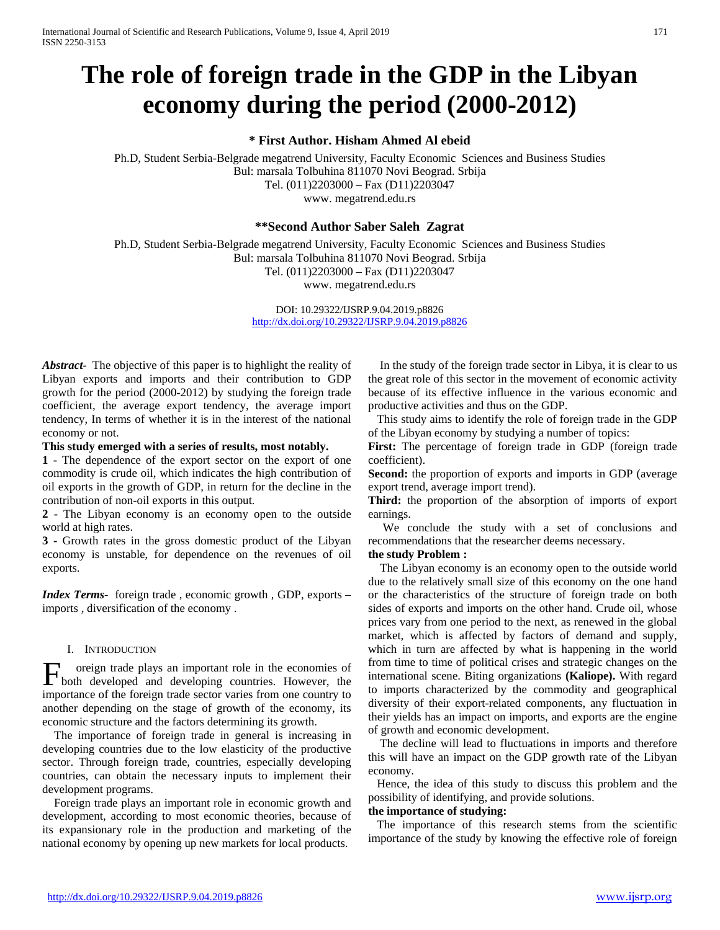# **The role of foreign trade in the GDP in the Libyan economy during the period (2000-2012)**

**\* First Author. Hisham Ahmed Al ebeid**

Ph.D, Student Serbia-Belgrade megatrend University, Faculty Economic Sciences and Business Studies Bul: marsala Tolbuhina 811070 Novi Beograd. Srbija Tel. (011)2203000 – Fax (D11)2203047 www. megatrend.edu.rs

**\*\*Second Author Saber Saleh Zagrat**

Ph.D, Student Serbia-Belgrade megatrend University, Faculty Economic Sciences and Business Studies Bul: marsala Tolbuhina 811070 Novi Beograd. Srbija

Tel. (011)2203000 – Fax (D11)2203047

www. megatrend.edu.rs

DOI: 10.29322/IJSRP.9.04.2019.p8826 <http://dx.doi.org/10.29322/IJSRP.9.04.2019.p8826>

*Abstract-* The objective of this paper is to highlight the reality of Libyan exports and imports and their contribution to GDP growth for the period (2000-2012) by studying the foreign trade coefficient, the average export tendency, the average import tendency, In terms of whether it is in the interest of the national economy or not.

**This study emerged with a series of results, most notably.**

**1 -** The dependence of the export sector on the export of one commodity is crude oil, which indicates the high contribution of oil exports in the growth of GDP, in return for the decline in the contribution of non-oil exports in this output.

**2 -** The Libyan economy is an economy open to the outside world at high rates.

**3 -** Growth rates in the gross domestic product of the Libyan economy is unstable, for dependence on the revenues of oil exports.

*Index Terms*- foreign trade , economic growth , GDP, exports – imports , diversification of the economy .

### I. INTRODUCTION

oreign trade plays an important role in the economies of Foreign trade plays an important role in the economies of both developed and developing countries. However, the importance of the foreign trade sector varies from one country to another depending on the stage of growth of the economy, its economic structure and the factors determining its growth.

 The importance of foreign trade in general is increasing in developing countries due to the low elasticity of the productive sector. Through foreign trade, countries, especially developing countries, can obtain the necessary inputs to implement their development programs.

 Foreign trade plays an important role in economic growth and development, according to most economic theories, because of its expansionary role in the production and marketing of the national economy by opening up new markets for local products.

 In the study of the foreign trade sector in Libya, it is clear to us the great role of this sector in the movement of economic activity because of its effective influence in the various economic and productive activities and thus on the GDP.

 This study aims to identify the role of foreign trade in the GDP of the Libyan economy by studying a number of topics:

**First:** The percentage of foreign trade in GDP (foreign trade coefficient).

**Second:** the proportion of exports and imports in GDP (average export trend, average import trend).

**Third:** the proportion of the absorption of imports of export earnings.

 We conclude the study with a set of conclusions and recommendations that the researcher deems necessary.

# **the study Problem :**

 The Libyan economy is an economy open to the outside world due to the relatively small size of this economy on the one hand or the characteristics of the structure of foreign trade on both sides of exports and imports on the other hand. Crude oil, whose prices vary from one period to the next, as renewed in the global market, which is affected by factors of demand and supply, which in turn are affected by what is happening in the world from time to time of political crises and strategic changes on the international scene. Biting organizations **(Kaliope).** With regard to imports characterized by the commodity and geographical diversity of their export-related components, any fluctuation in their yields has an impact on imports, and exports are the engine of growth and economic development.

 The decline will lead to fluctuations in imports and therefore this will have an impact on the GDP growth rate of the Libyan economy.

 Hence, the idea of this study to discuss this problem and the possibility of identifying, and provide solutions.

### **the importance of studying:**

 The importance of this research stems from the scientific importance of the study by knowing the effective role of foreign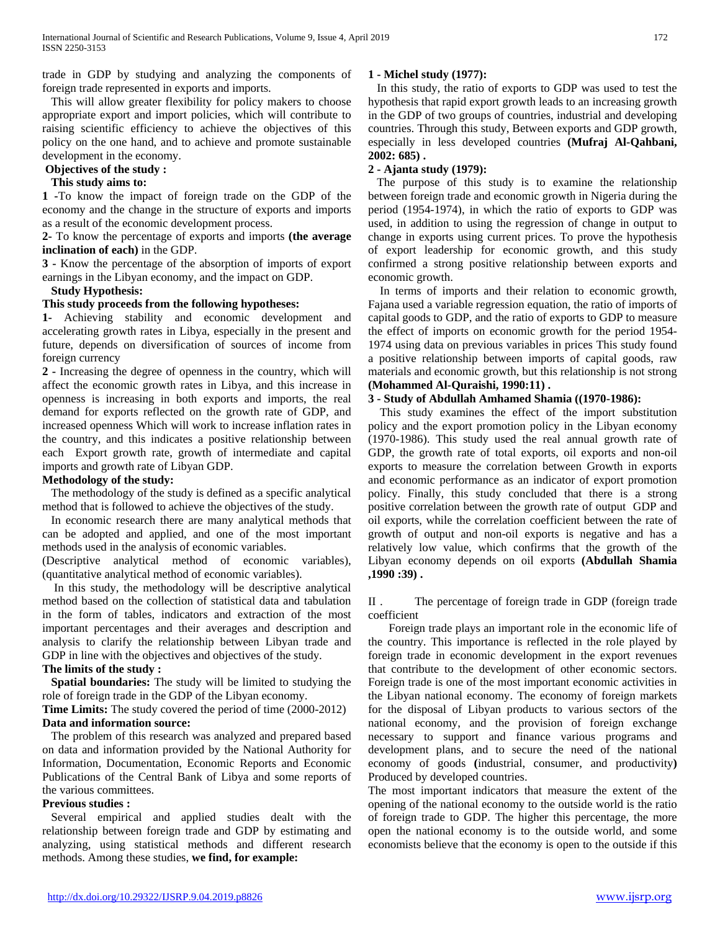trade in GDP by studying and analyzing the components of foreign trade represented in exports and imports.

 This will allow greater flexibility for policy makers to choose appropriate export and import policies, which will contribute to raising scientific efficiency to achieve the objectives of this policy on the one hand, and to achieve and promote sustainable development in the economy.

# **Objectives of the study :**

# **This study aims to:**

**1 -**To know the impact of foreign trade on the GDP of the economy and the change in the structure of exports and imports as a result of the economic development process.

**2-** To know the percentage of exports and imports **(the average inclination of each)** in the GDP.

**3 -** Know the percentage of the absorption of imports of export earnings in the Libyan economy, and the impact on GDP.

# **Study Hypothesis:**

# **This study proceeds from the following hypotheses:**

**1-** Achieving stability and economic development and accelerating growth rates in Libya, especially in the present and future, depends on diversification of sources of income from foreign currency

**2 -** Increasing the degree of openness in the country, which will affect the economic growth rates in Libya, and this increase in openness is increasing in both exports and imports, the real demand for exports reflected on the growth rate of GDP, and increased openness Which will work to increase inflation rates in the country, and this indicates a positive relationship between each Export growth rate, growth of intermediate and capital imports and growth rate of Libyan GDP.

# **Methodology of the study:**

 The methodology of the study is defined as a specific analytical method that is followed to achieve the objectives of the study.

 In economic research there are many analytical methods that can be adopted and applied, and one of the most important methods used in the analysis of economic variables.

(Descriptive analytical method of economic variables), (quantitative analytical method of economic variables).

 In this study, the methodology will be descriptive analytical method based on the collection of statistical data and tabulation in the form of tables, indicators and extraction of the most important percentages and their averages and description and analysis to clarify the relationship between Libyan trade and GDP in line with the objectives and objectives of the study.

#### **The limits of the study :**

 **Spatial boundaries:** The study will be limited to studying the role of foreign trade in the GDP of the Libyan economy.

**Time Limits:** The study covered the period of time (2000-2012) **Data and information source:**

 The problem of this research was analyzed and prepared based on data and information provided by the National Authority for Information, Documentation, Economic Reports and Economic Publications of the Central Bank of Libya and some reports of the various committees.

#### **Previous studies :**

 Several empirical and applied studies dealt with the relationship between foreign trade and GDP by estimating and analyzing, using statistical methods and different research methods. Among these studies, **we find, for example:**

# **1 - Michel study (1977):**

 In this study, the ratio of exports to GDP was used to test the hypothesis that rapid export growth leads to an increasing growth in the GDP of two groups of countries, industrial and developing countries. Through this study, Between exports and GDP growth, especially in less developed countries **(Mufraj Al-Qahbani, 2002: 685) .**

#### **2 - Ajanta study (1979):**

 The purpose of this study is to examine the relationship between foreign trade and economic growth in Nigeria during the period (1954-1974), in which the ratio of exports to GDP was used, in addition to using the regression of change in output to change in exports using current prices. To prove the hypothesis of export leadership for economic growth, and this study confirmed a strong positive relationship between exports and economic growth.

 In terms of imports and their relation to economic growth, Fajana used a variable regression equation, the ratio of imports of capital goods to GDP, and the ratio of exports to GDP to measure the effect of imports on economic growth for the period 1954- 1974 using data on previous variables in prices This study found a positive relationship between imports of capital goods, raw materials and economic growth, but this relationship is not strong **(Mohammed Al-Quraishi, 1990:11) .**

# **3 - Study of Abdullah Amhamed Shamia ((1970-1986):**

 This study examines the effect of the import substitution policy and the export promotion policy in the Libyan economy (1970-1986). This study used the real annual growth rate of GDP, the growth rate of total exports, oil exports and non-oil exports to measure the correlation between Growth in exports and economic performance as an indicator of export promotion policy. Finally, this study concluded that there is a strong positive correlation between the growth rate of output GDP and oil exports, while the correlation coefficient between the rate of growth of output and non-oil exports is negative and has a relatively low value, which confirms that the growth of the Libyan economy depends on oil exports **(Abdullah Shamia ,1990 :39) .**

II . The percentage of foreign trade in GDP (foreign trade coefficient

 Foreign trade plays an important role in the economic life of the country. This importance is reflected in the role played by foreign trade in economic development in the export revenues that contribute to the development of other economic sectors. Foreign trade is one of the most important economic activities in the Libyan national economy. The economy of foreign markets for the disposal of Libyan products to various sectors of the national economy, and the provision of foreign exchange necessary to support and finance various programs and development plans, and to secure the need of the national economy of goods **(**industrial, consumer, and productivity**)** Produced by developed countries.

The most important indicators that measure the extent of the opening of the national economy to the outside world is the ratio of foreign trade to GDP. The higher this percentage, the more open the national economy is to the outside world, and some economists believe that the economy is open to the outside if this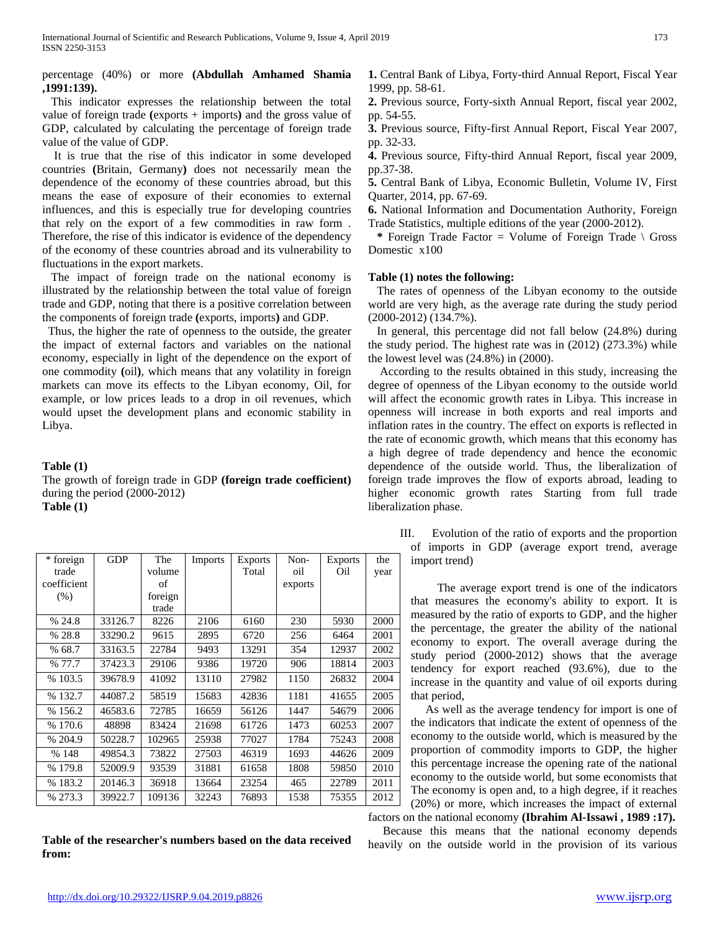# percentage (40%) or more **(Abdullah Amhamed Shamia ,1991:139).**

 This indicator expresses the relationship between the total value of foreign trade **(**exports + imports**)** and the gross value of GDP, calculated by calculating the percentage of foreign trade value of the value of GDP.

 It is true that the rise of this indicator in some developed countries **(**Britain, Germany**)** does not necessarily mean the dependence of the economy of these countries abroad, but this means the ease of exposure of their economies to external influences, and this is especially true for developing countries that rely on the export of a few commodities in raw form . Therefore, the rise of this indicator is evidence of the dependency of the economy of these countries abroad and its vulnerability to fluctuations in the export markets.

 The impact of foreign trade on the national economy is illustrated by the relationship between the total value of foreign trade and GDP, noting that there is a positive correlation between the components of foreign trade **(**exports, imports**)** and GDP.

 Thus, the higher the rate of openness to the outside, the greater the impact of external factors and variables on the national economy, especially in light of the dependence on the export of one commodity **(**oil**)**, which means that any volatility in foreign markets can move its effects to the Libyan economy, Oil, for example, or low prices leads to a drop in oil revenues, which would upset the development plans and economic stability in Libya.

**Table (1)**

The growth of foreign trade in GDP **(foreign trade coefficient)** during the period (2000-2012) **Table (1)**

| * foreign   | <b>GDP</b> | The     | Imports | <b>Exports</b> | Non-    | <b>Exports</b> | the  |
|-------------|------------|---------|---------|----------------|---------|----------------|------|
| trade       |            | volume  |         | Total          | oil     | Oil            | year |
| coefficient |            | of      |         |                | exports |                |      |
| (% )        |            | foreign |         |                |         |                |      |
|             |            | trade   |         |                |         |                |      |
| % 24.8      | 33126.7    | 8226    | 2106    | 6160           | 230     | 5930           | 2000 |
| % 28.8      | 33290.2    | 9615    | 2895    | 6720           | 256     | 6464           | 2001 |
| % 68.7      | 33163.5    | 22784   | 9493    | 13291          | 354     | 12937          | 2002 |
| % 77.7      | 37423.3    | 29106   | 9386    | 19720          | 906     | 18814          | 2003 |
| % 103.5     | 39678.9    | 41092   | 13110   | 27982          | 1150    | 26832          | 2004 |
| % 132.7     | 44087.2    | 58519   | 15683   | 42836          | 1181    | 41655          | 2005 |
| % 156.2     | 46583.6    | 72785   | 16659   | 56126          | 1447    | 54679          | 2006 |
| %170.6      | 48898      | 83424   | 21698   | 61726          | 1473    | 60253          | 2007 |
| % 204.9     | 50228.7    | 102965  | 25938   | 77027          | 1784    | 75243          | 2008 |
| % 148       | 49854.3    | 73822   | 27503   | 46319          | 1693    | 44626          | 2009 |
| % 179.8     | 52009.9    | 93539   | 31881   | 61658          | 1808    | 59850          | 2010 |
| % 183.2     | 20146.3    | 36918   | 13664   | 23254          | 465     | 22789          | 2011 |
| % 273.3     | 39922.7    | 109136  | 32243   | 76893          | 1538    | 75355          | 2012 |

**Table of the researcher's numbers based on the data received from:**

**1.** Central Bank of Libya, Forty-third Annual Report, Fiscal Year 1999, pp. 58-61.

**2.** Previous source, Forty-sixth Annual Report, fiscal year 2002, pp. 54-55.

**3.** Previous source, Fifty-first Annual Report, Fiscal Year 2007, pp. 32-33.

**4.** Previous source, Fifty-third Annual Report, fiscal year 2009, pp.37-38.

**5.** Central Bank of Libya, Economic Bulletin, Volume IV, First Quarter, 2014, pp. 67-69.

**6.** National Information and Documentation Authority, Foreign Trade Statistics, multiple editions of the year (2000-2012).

 **\*** Foreign Trade Factor = Volume of Foreign Trade \ Gross Domestic x100

#### **Table (1) notes the following:**

 The rates of openness of the Libyan economy to the outside world are very high, as the average rate during the study period (2000-2012) (134.7%).

 In general, this percentage did not fall below (24.8%) during the study period. The highest rate was in (2012) (273.3%) while the lowest level was (24.8%) in (2000).

 According to the results obtained in this study, increasing the degree of openness of the Libyan economy to the outside world will affect the economic growth rates in Libya. This increase in openness will increase in both exports and real imports and inflation rates in the country. The effect on exports is reflected in the rate of economic growth, which means that this economy has a high degree of trade dependency and hence the economic dependence of the outside world. Thus, the liberalization of foreign trade improves the flow of exports abroad, leading to higher economic growth rates Starting from full trade liberalization phase.

> III. Evolution of the ratio of exports and the proportion of imports in GDP (average export trend, average import trend)

 The average export trend is one of the indicators that measures the economy's ability to export. It is measured by the ratio of exports to GDP, and the higher the percentage, the greater the ability of the national economy to export. The overall average during the study period (2000-2012) shows that the average tendency for export reached (93.6%), due to the increase in the quantity and value of oil exports during that period,

 As well as the average tendency for import is one of the indicators that indicate the extent of openness of the economy to the outside world, which is measured by the proportion of commodity imports to GDP, the higher this percentage increase the opening rate of the national economy to the outside world, but some economists that The economy is open and, to a high degree, if it reaches (20%) or more, which increases the impact of external factors on the national economy **(Ibrahim Al-Issawi , 1989 :17).**

 Because this means that the national economy depends heavily on the outside world in the provision of its various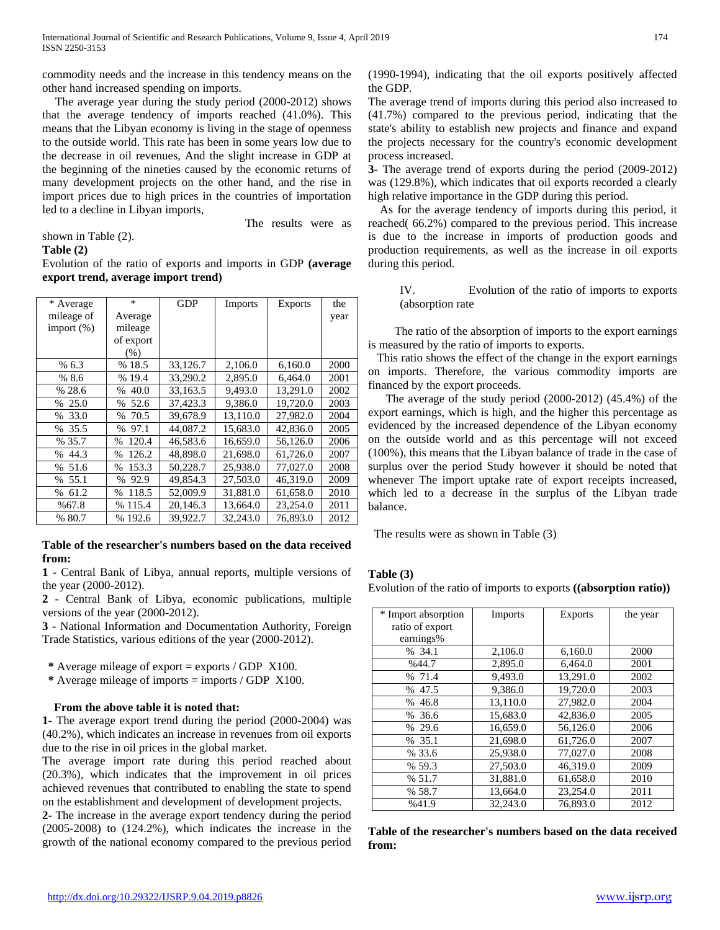commodity needs and the increase in this tendency means on the other hand increased spending on imports.

 The average year during the study period (2000-2012) shows that the average tendency of imports reached (41.0%). This means that the Libyan economy is living in the stage of openness to the outside world. This rate has been in some years low due to the decrease in oil revenues, And the slight increase in GDP at the beginning of the nineties caused by the economic returns of many development projects on the other hand, and the rise in import prices due to high prices in the countries of importation led to a decline in Libyan imports,

shown in Table (2).

#### **Table (2)**

Evolution of the ratio of exports and imports in GDP **(average export trend, average import trend)**

The results were as

| * Average     | $\ast$                | <b>GDP</b> | <b>Imports</b> | <b>Exports</b> | the  |
|---------------|-----------------------|------------|----------------|----------------|------|
| mileage of    | Average               |            |                |                | year |
| import $(\%)$ | mileage               |            |                |                |      |
|               | of export             |            |                |                |      |
|               | (% )                  |            |                |                |      |
| % 6.3         | %18.5                 | 33,126.7   | 2,106.0        | 6,160.0        | 2000 |
| %8.6          | % 19.4                | 33,290.2   | 2,895.0        | 6,464.0        | 2001 |
| % 28.6        | 40.0<br>$\%$          | 33,163.5   | 9,493.0        | 13,291.0       | 2002 |
| % 25.0        | 52.6<br>$\%$          | 37.423.3   | 9.386.0        | 19,720.0       | 2003 |
| 33.0<br>%     | 70.5<br>$\%$          | 39,678.9   | 13,110.0       | 27,982.0       | 2004 |
| %35.5         | 97.1<br>$\frac{0}{0}$ | 44,087.2   | 15,683.0       | 42,836.0       | 2005 |
| % 35.7        | 120.4<br>$\%$         | 46.583.6   | 16,659.0       | 56,126.0       | 2006 |
| 44.3<br>$\%$  | 126.2<br>$\%$         | 48,898.0   | 21,698.0       | 61,726.0       | 2007 |
| 51.6<br>$\%$  | 153.3<br>$\%$         | 50,228.7   | 25,938.0       | 77,027.0       | 2008 |
| 55.1<br>%     | 92.9<br>$\%$          | 49.854.3   | 27,503.0       | 46,319.0       | 2009 |
| % 61.2        | 118.5<br>$\%$         | 52,009.9   | 31,881.0       | 61,658.0       | 2010 |
| %67.8         | % 115.4               | 20.146.3   | 13,664.0       | 23,254.0       | 2011 |
| % 80.7        | % 192.6               | 39,922.7   | 32,243.0       | 76,893.0       | 2012 |

#### **Table of the researcher's numbers based on the data received from:**

**1 -** Central Bank of Libya, annual reports, multiple versions of the year (2000-2012).

**2 -** Central Bank of Libya, economic publications, multiple versions of the year (2000-2012).

**3 -** National Information and Documentation Authority, Foreign Trade Statistics, various editions of the year (2000-2012).

**\*** Average mileage of export = exports / GDP X100.

 **\*** Average mileage of imports = imports / GDP X100.

# **From the above table it is noted that:**

**1-** The average export trend during the period (2000-2004) was (40.2%), which indicates an increase in revenues from oil exports due to the rise in oil prices in the global market.

The average import rate during this period reached about (20.3%), which indicates that the improvement in oil prices achieved revenues that contributed to enabling the state to spend on the establishment and development of development projects.

**2-** The increase in the average export tendency during the period (2005-2008) to (124.2%), which indicates the increase in the growth of the national economy compared to the previous period (1990-1994), indicating that the oil exports positively affected the GDP.

The average trend of imports during this period also increased to (41.7%) compared to the previous period, indicating that the state's ability to establish new projects and finance and expand the projects necessary for the country's economic development process increased.

**3-** The average trend of exports during the period (2009-2012) was (129.8%), which indicates that oil exports recorded a clearly high relative importance in the GDP during this period.

 As for the average tendency of imports during this period, it reached( 66.2%) compared to the previous period. This increase is due to the increase in imports of production goods and production requirements, as well as the increase in oil exports during this period.

IV. Evolution of the ratio of imports to exports (absorption rate

 The ratio of the absorption of imports to the export earnings is measured by the ratio of imports to exports.

 This ratio shows the effect of the change in the export earnings on imports. Therefore, the various commodity imports are financed by the export proceeds.

 The average of the study period (2000-2012) (45.4%) of the export earnings, which is high, and the higher this percentage as evidenced by the increased dependence of the Libyan economy on the outside world and as this percentage will not exceed (100%), this means that the Libyan balance of trade in the case of surplus over the period Study however it should be noted that whenever The import uptake rate of export receipts increased, which led to a decrease in the surplus of the Libyan trade balance.

The results were as shown in Table (3)

# **Table (3)**

Evolution of the ratio of imports to exports **((absorption ratio))**

| * Import absorption | <b>Imports</b> | <b>Exports</b> | the year |
|---------------------|----------------|----------------|----------|
| ratio of export     |                |                |          |
| earnings%           |                |                |          |
| % 34.1              | 2,106.0        | 6,160.0        | 2000     |
| %44.7               | 2,895.0        | 6,464.0        | 2001     |
| % 71.4              | 9.493.0        | 13,291.0       | 2002     |
| % 47.5              | 9,386.0        | 19,720.0       | 2003     |
| % 46.8              | 13,110.0       | 27,982.0       | 2004     |
| %36.6               | 15,683.0       | 42,836.0       | 2005     |
| % 29.6              | 16,659.0       | 56,126.0       | 2006     |
| % 35.1              | 21,698.0       | 61,726.0       | 2007     |
| % 33.6              | 25,938.0       | 77,027.0       | 2008     |
| % 59.3              | 27,503.0       | 46,319.0       | 2009     |
| % 51.7              | 31,881.0       | 61,658.0       | 2010     |
| % 58.7              | 13,664.0       | 23,254.0       | 2011     |
| %41.9               | 32,243.0       | 76,893.0       | 2012     |

**Table of the researcher's numbers based on the data received from:**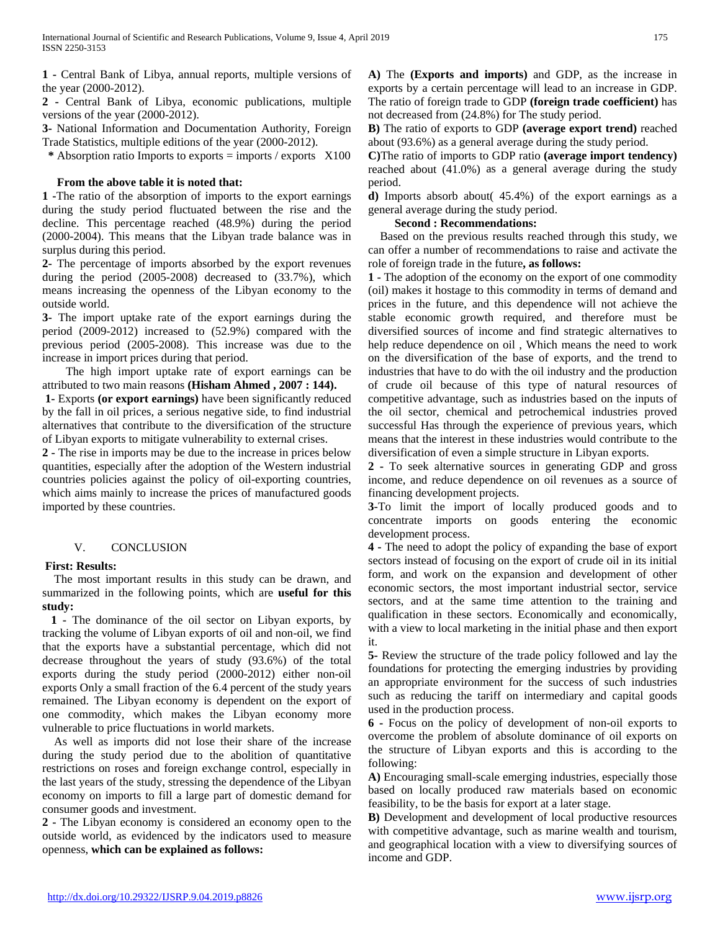**1 -** Central Bank of Libya, annual reports, multiple versions of the year (2000-2012).

**2 -** Central Bank of Libya, economic publications, multiple versions of the year (2000-2012).

**3-** National Information and Documentation Authority, Foreign Trade Statistics, multiple editions of the year (2000-2012).

**\*** Absorption ratio Imports to exports = imports / exports X100

# **From the above table it is noted that:**

**1 -**The ratio of the absorption of imports to the export earnings during the study period fluctuated between the rise and the decline. This percentage reached (48.9%) during the period (2000-2004). This means that the Libyan trade balance was in surplus during this period.

**2-** The percentage of imports absorbed by the export revenues during the period (2005-2008) decreased to (33.7%), which means increasing the openness of the Libyan economy to the outside world.

**3-** The import uptake rate of the export earnings during the period (2009-2012) increased to (52.9%) compared with the previous period (2005-2008). This increase was due to the increase in import prices during that period.

 The high import uptake rate of export earnings can be attributed to two main reasons **(Hisham Ahmed , 2007 : 144).**

**1-** Exports **(or export earnings)** have been significantly reduced by the fall in oil prices, a serious negative side, to find industrial alternatives that contribute to the diversification of the structure of Libyan exports to mitigate vulnerability to external crises.

**2 -** The rise in imports may be due to the increase in prices below quantities, especially after the adoption of the Western industrial countries policies against the policy of oil-exporting countries, which aims mainly to increase the prices of manufactured goods imported by these countries.

### V. CONCLUSION

### **First: Results:**

 The most important results in this study can be drawn, and summarized in the following points, which are **useful for this study:**

 **1 -** The dominance of the oil sector on Libyan exports, by tracking the volume of Libyan exports of oil and non-oil, we find that the exports have a substantial percentage, which did not decrease throughout the years of study (93.6%) of the total exports during the study period (2000-2012) either non-oil exports Only a small fraction of the 6.4 percent of the study years remained. The Libyan economy is dependent on the export of one commodity, which makes the Libyan economy more vulnerable to price fluctuations in world markets.

 As well as imports did not lose their share of the increase during the study period due to the abolition of quantitative restrictions on roses and foreign exchange control, especially in the last years of the study, stressing the dependence of the Libyan economy on imports to fill a large part of domestic demand for consumer goods and investment.

**2 -** The Libyan economy is considered an economy open to the outside world, as evidenced by the indicators used to measure openness, **which can be explained as follows:**

**A)** The **(Exports and imports)** and GDP, as the increase in exports by a certain percentage will lead to an increase in GDP. The ratio of foreign trade to GDP **(foreign trade coefficient)** has not decreased from (24.8%) for The study period.

**B)** The ratio of exports to GDP **(average export trend)** reached about (93.6%) as a general average during the study period.

**C)**The ratio of imports to GDP ratio **(average import tendency)** reached about (41.0%) as a general average during the study period.

**d)** Imports absorb about( 45.4%) of the export earnings as a general average during the study period.

## **Second : Recommendations:**

 Based on the previous results reached through this study, we can offer a number of recommendations to raise and activate the role of foreign trade in the future**, as follows:**

**1 -** The adoption of the economy on the export of one commodity (oil) makes it hostage to this commodity in terms of demand and prices in the future, and this dependence will not achieve the stable economic growth required, and therefore must be diversified sources of income and find strategic alternatives to help reduce dependence on oil , Which means the need to work on the diversification of the base of exports, and the trend to industries that have to do with the oil industry and the production of crude oil because of this type of natural resources of competitive advantage, such as industries based on the inputs of the oil sector, chemical and petrochemical industries proved successful Has through the experience of previous years, which means that the interest in these industries would contribute to the diversification of even a simple structure in Libyan exports.

**2 -** To seek alternative sources in generating GDP and gross income, and reduce dependence on oil revenues as a source of financing development projects.

**3-**To limit the import of locally produced goods and to concentrate imports on goods entering the economic development process.

**4 -** The need to adopt the policy of expanding the base of export sectors instead of focusing on the export of crude oil in its initial form, and work on the expansion and development of other economic sectors, the most important industrial sector, service sectors, and at the same time attention to the training and qualification in these sectors. Economically and economically, with a view to local marketing in the initial phase and then export it.

**5-** Review the structure of the trade policy followed and lay the foundations for protecting the emerging industries by providing an appropriate environment for the success of such industries such as reducing the tariff on intermediary and capital goods used in the production process.

**6 -** Focus on the policy of development of non-oil exports to overcome the problem of absolute dominance of oil exports on the structure of Libyan exports and this is according to the following:

**A)** Encouraging small-scale emerging industries, especially those based on locally produced raw materials based on economic feasibility, to be the basis for export at a later stage.

**B)** Development and development of local productive resources with competitive advantage, such as marine wealth and tourism, and geographical location with a view to diversifying sources of income and GDP.